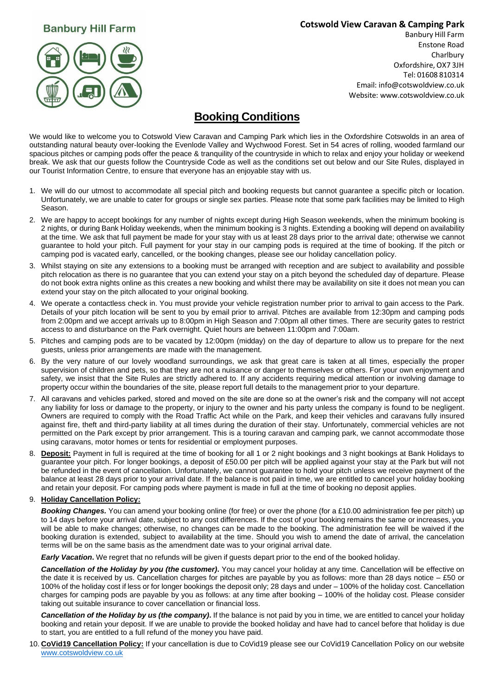## **Banbury Hill Farm**

### **Cotswold View Caravan & Camping Park**



Banbury Hill Farm Enstone Road **Charlbury** Oxfordshire, OX7 3JH Tel: 01608 810314 Email[: info@cotswoldview.co.uk](mailto:info@cotswoldview.co.uk) Website: [www.cotswoldview.co.uk](http://www.cotswoldview.co.uk/)

# **Booking Conditions**

We would like to welcome you to Cotswold View Caravan and Camping Park which lies in the Oxfordshire Cotswolds in an area of outstanding natural beauty over-looking the Evenlode Valley and Wychwood Forest. Set in 54 acres of rolling, wooded farmland our spacious pitches or camping pods offer the peace & tranquility of the countryside in which to relax and enjoy your holiday or weekend break. We ask that our guests follow the Countryside Code as well as the conditions set out below and our Site Rules, displayed in our Tourist Information Centre, to ensure that everyone has an enjoyable stay with us.

- 1. We will do our utmost to accommodate all special pitch and booking requests but cannot guarantee a specific pitch or location. Unfortunately, we are unable to cater for groups or single sex parties. Please note that some park facilities may be limited to High Season.
- 2. We are happy to accept bookings for any number of nights except during High Season weekends, when the minimum booking is 2 nights, or during Bank Holiday weekends, when the minimum booking is 3 nights. Extending a booking will depend on availability at the time. We ask that full payment be made for your stay with us at least 28 days prior to the arrival date; otherwise we cannot guarantee to hold your pitch. Full payment for your stay in our camping pods is required at the time of booking. If the pitch or camping pod is vacated early, cancelled, or the booking changes, please see our holiday cancellation policy.
- 3. Whilst staying on site any extensions to a booking must be arranged with reception and are subject to availability and possible pitch relocation as there is no guarantee that you can extend your stay on a pitch beyond the scheduled day of departure. Please do not book extra nights online as this creates a new booking and whilst there may be availability on site it does not mean you can extend your stay on the pitch allocated to your original booking.
- 4. We operate a contactless check in. You must provide your vehicle registration number prior to arrival to gain access to the Park. Details of your pitch location will be sent to you by email prior to arrival. Pitches are available from 12:30pm and camping pods from 2:00pm and we accept arrivals up to 8:00pm in High Season and 7:00pm all other times. There are security gates to restrict access to and disturbance on the Park overnight. Quiet hours are between 11:00pm and 7:00am.
- 5. Pitches and camping pods are to be vacated by 12:00pm (midday) on the day of departure to allow us to prepare for the next guests, unless prior arrangements are made with the management.
- 6. By the very nature of our lovely woodland surroundings, we ask that great care is taken at all times, especially the proper supervision of children and pets, so that they are not a nuisance or danger to themselves or others. For your own enjoyment and safety, we insist that the Site Rules are strictly adhered to. If any accidents requiring medical attention or involving damage to property occur within the boundaries of the site, please report full details to the management prior to your departure.
- 7. All caravans and vehicles parked, stored and moved on the site are done so at the owner's risk and the company will not accept any liability for loss or damage to the property, or injury to the owner and his party unless the company is found to be negligent. Owners are required to comply with the Road Traffic Act while on the Park, and keep their vehicles and caravans fully insured against fire, theft and third-party liability at all times during the duration of their stay. Unfortunately, commercial vehicles are not permitted on the Park except by prior arrangement. This is a touring caravan and camping park, we cannot accommodate those using caravans, motor homes or tents for residential or employment purposes.
- 8. **Deposit:** Payment in full is required at the time of booking for all 1 or 2 night bookings and 3 night bookings at Bank Holidays to guarantee your pitch. For longer bookings, a deposit of £50.00 per pitch will be applied against your stay at the Park but will not be refunded in the event of cancellation. Unfortunately, we cannot guarantee to hold your pitch unless we receive payment of the balance at least 28 days prior to your arrival date. If the balance is not paid in time, we are entitled to cancel your holiday booking and retain your deposit. For camping pods where payment is made in full at the time of booking no deposit applies.

#### 9. **Holiday Cancellation Policy:**

*Booking Changes.* You can amend your booking online (for free) or over the phone (for a £10.00 administration fee per pitch) up to 14 days before your arrival date, subject to any cost differences. If the cost of your booking remains the same or increases, you will be able to make changes; otherwise, no changes can be made to the booking. The administration fee will be waived if the booking duration is extended, subject to availability at the time. Should you wish to amend the date of arrival, the cancelation terms will be on the same basis as the amendment date was to your original arrival date.

*Early Vacation***.** We regret that no refunds will be given if guests depart prior to the end of the booked holiday.

*Cancellation of the Holiday by you (the customer)***.** You may cancel your holiday at any time. Cancellation will be effective on the date it is received by us. Cancellation charges for pitches are payable by you as follows: more than 28 days notice – £50 or 100% of the holiday cost if less or for longer bookings the deposit only; 28 days and under – 100% of the holiday cost. Cancellation charges for camping pods are payable by you as follows: at any time after booking – 100% of the holiday cost. Please consider taking out suitable insurance to cover cancellation or financial loss.

*Cancellation of the Holiday by us (the company)***.** If the balance is not paid by you in time, we are entitled to cancel your holiday booking and retain your deposit. If we are unable to provide the booked holiday and have had to cancel before that holiday is due to start, you are entitled to a full refund of the money you have paid.

10. **CoVid19 Cancellation Policy:** If your cancellation is due to CoVid19 please see our CoVid19 Cancellation Policy on our website [www.cotswoldview.co.uk](http://www.cotswoldview.co.uk/)